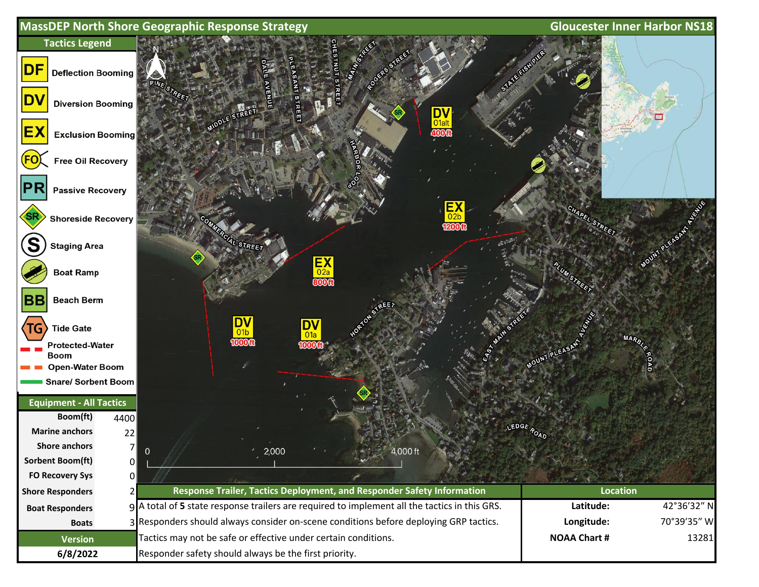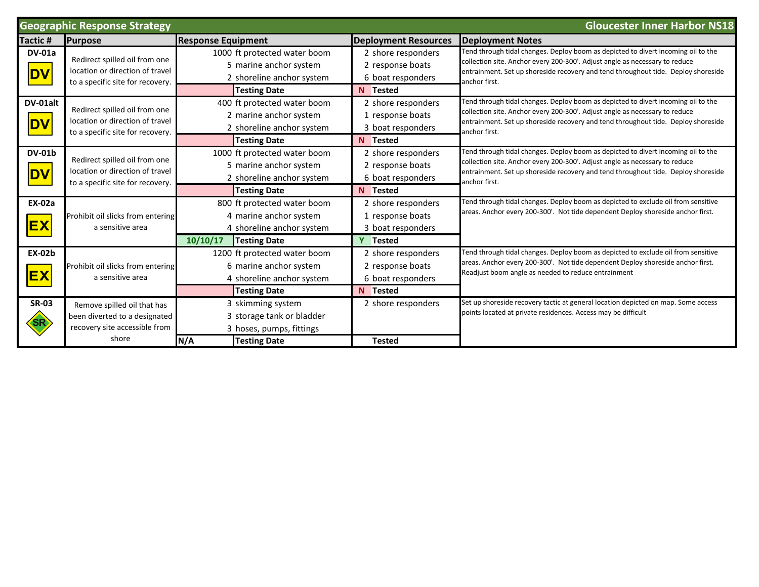| <b>Geographic Response Strategy</b><br><b>Gloucester Inner Harbor NS18</b> |                                                                                                        |                                                                                                                       |                                                                         |                                                                                                                                                                                                                                                                        |  |  |
|----------------------------------------------------------------------------|--------------------------------------------------------------------------------------------------------|-----------------------------------------------------------------------------------------------------------------------|-------------------------------------------------------------------------|------------------------------------------------------------------------------------------------------------------------------------------------------------------------------------------------------------------------------------------------------------------------|--|--|
| Tactic #                                                                   | <b>Purpose</b>                                                                                         | <b>Response Equipment</b>                                                                                             | <b>Deployment Resources</b>                                             | <b>Deployment Notes</b>                                                                                                                                                                                                                                                |  |  |
| <b>DV-01a</b><br><b>DV</b>                                                 | Redirect spilled oil from one<br>location or direction of travel<br>to a specific site for recovery.   | 1000 ft protected water boom<br>5 marine anchor system<br>2 shoreline anchor system<br><b>Testing Date</b>            | 2 shore responders<br>2 response boats<br>6 boat responders<br>N Tested | Tend through tidal changes. Deploy boom as depicted to divert incoming oil to the<br>collection site. Anchor every 200-300'. Adjust angle as necessary to reduce<br>entrainment. Set up shoreside recovery and tend throughout tide. Deploy shoreside<br>anchor first. |  |  |
| DV-01alt<br><b>DV</b>                                                      | Redirect spilled oil from one<br>location or direction of travel<br>to a specific site for recovery.   | 400 ft protected water boom<br>2 marine anchor system<br>2 shoreline anchor system<br><b>Testing Date</b>             | 2 shore responders<br>1 response boats<br>3 boat responders<br>N Tested | Tend through tidal changes. Deploy boom as depicted to divert incoming oil to the<br>collection site. Anchor every 200-300'. Adjust angle as necessary to reduce<br>entrainment. Set up shoreside recovery and tend throughout tide. Deploy shoreside<br>anchor first. |  |  |
| <b>DV-01b</b><br><b>DV</b>                                                 | Redirect spilled oil from one<br>location or direction of travel<br>to a specific site for recovery    | 1000 ft protected water boom<br>5 marine anchor system<br>2 shoreline anchor system<br><b>Testing Date</b>            | 2 shore responders<br>2 response boats<br>6 boat responders<br>N Tested | Tend through tidal changes. Deploy boom as depicted to divert incoming oil to the<br>collection site. Anchor every 200-300'. Adjust angle as necessary to reduce<br>entrainment. Set up shoreside recovery and tend throughout tide. Deploy shoreside<br>anchor first. |  |  |
| <b>EX-02a</b><br><b>EX</b>                                                 | Prohibit oil slicks from entering<br>a sensitive area                                                  | 800 ft protected water boom<br>4 marine anchor system<br>4 shoreline anchor system<br>10/10/17<br><b>Testing Date</b> | 2 shore responders<br>1 response boats<br>3 boat responders<br>Y Tested | Tend through tidal changes. Deploy boom as depicted to exclude oil from sensitive<br>areas. Anchor every 200-300'. Not tide dependent Deploy shoreside anchor first.                                                                                                   |  |  |
| <b>EX-02b</b><br><b>EX</b>                                                 | Prohibit oil slicks from entering<br>a sensitive area                                                  | 1200 ft protected water boom<br>6 marine anchor system<br>4 shoreline anchor system<br><b>Testing Date</b>            | 2 shore responders<br>2 response boats<br>6 boat responders<br>N Tested | Tend through tidal changes. Deploy boom as depicted to exclude oil from sensitive<br>areas. Anchor every 200-300'. Not tide dependent Deploy shoreside anchor first.<br>Readjust boom angle as needed to reduce entrainment                                            |  |  |
| <b>SR-03</b>                                                               | Remove spilled oil that has<br>been diverted to a designated<br>recovery site accessible from<br>shore | 3 skimming system<br>3 storage tank or bladder<br>3 hoses, pumps, fittings<br>N/A<br><b>Testing Date</b>              | 2 shore responders<br><b>Tested</b>                                     | Set up shoreside recovery tactic at general location depicted on map. Some access<br>points located at private residences. Access may be difficult                                                                                                                     |  |  |